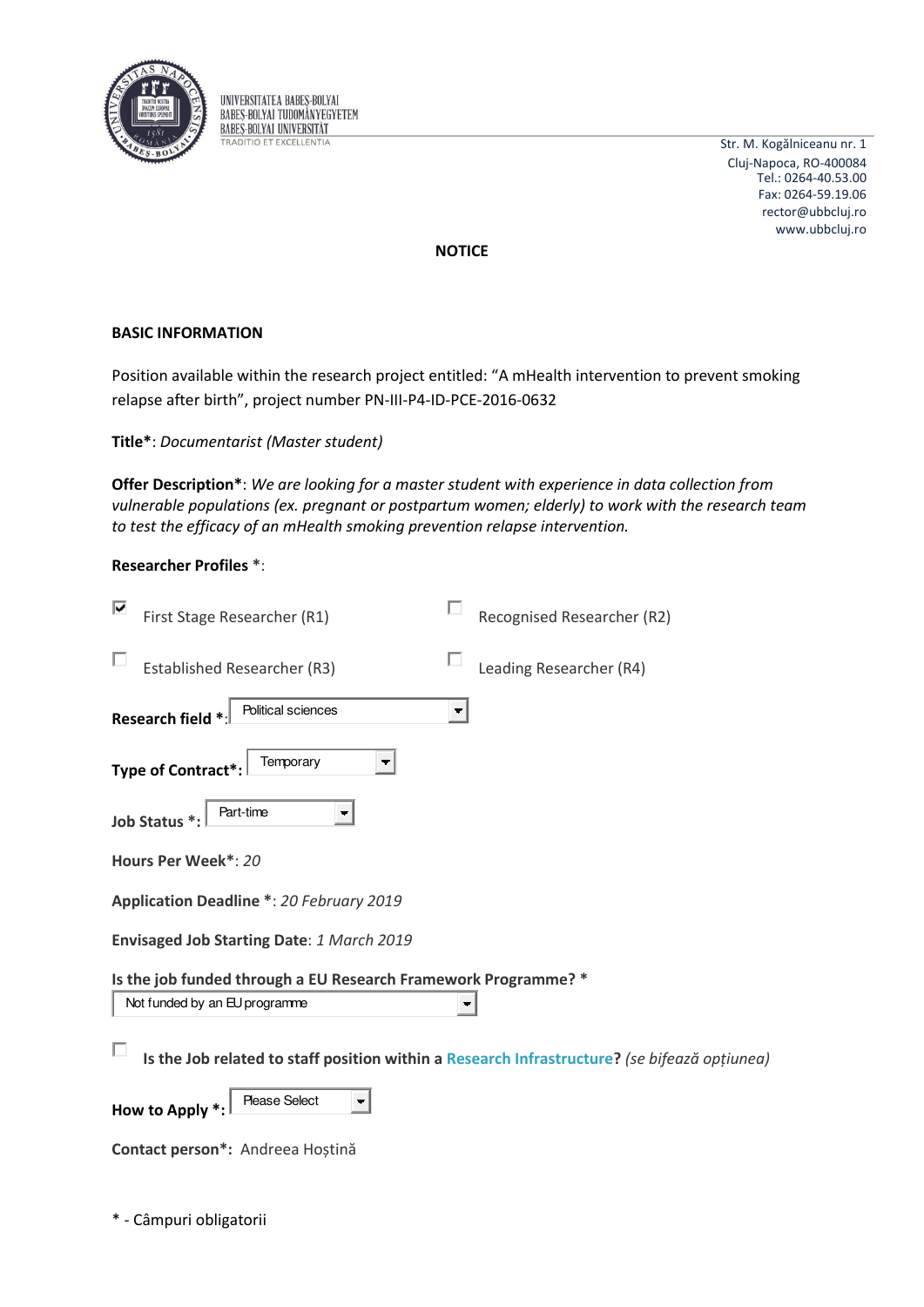

UNIVERSITATEA BABES-BOLYAI **BABES-BOLYAI TUDOMÁNYEGYETEM BABES-BOLYAI UNIVERSITAT TRADITIO ET EXCELLENTIA** 

Str. M. Kogălniceanu nr. 1 Cluj-Napoca, RO-400084 Tel.: 0264-40.53.00 Fax: 0264-59.19.06 rector@ubbcluj.ro www.ubbcluj.ro

**NOTICE** 

## **BASIC INFORMATION**

Position available within the research project entitled: "A mHealth intervention to prevent smoking relapse after birth", project number PN-III-P4-ID-PCE-2016-0632

Title\*: Documentarist (Master student)

Offer Description\*: We are looking for a master student with experience in data collection from vulnerable populations (ex. pregnant or postpartum women; elderly) to work with the research team to test the efficacy of an mHealth smoking prevention relapse intervention.

| <b>Researcher Profiles *:</b> |  |  |
|-------------------------------|--|--|
|-------------------------------|--|--|

| First Stage Researcher (R1)                                                                     | Recognised Researcher (R2)                                                                   |
|-------------------------------------------------------------------------------------------------|----------------------------------------------------------------------------------------------|
| <b>Established Researcher (R3)</b>                                                              | Leading Researcher (R4)                                                                      |
| Political sciences<br>Research field *                                                          |                                                                                              |
| Temporary<br>Type of Contract*:                                                                 |                                                                                              |
| Part-time<br>Job Status *:                                                                      |                                                                                              |
| Hours Per Week*: 20                                                                             |                                                                                              |
| <b>Application Deadline *: 20 February 2019</b>                                                 |                                                                                              |
| Envisaged Job Starting Date: 1 March 2019                                                       |                                                                                              |
| Is the job funded through a EU Research Framework Programme? *<br>Not funded by an EU programme |                                                                                              |
|                                                                                                 | Is the Job related to staff position within a Research Infrastructure? (se bifează opțiunea) |
| <b>Please Select</b><br>How to Apply *:                                                         |                                                                                              |
| Contact person*: Andreea Hoștină                                                                |                                                                                              |

\* - Câmpuri obligatorii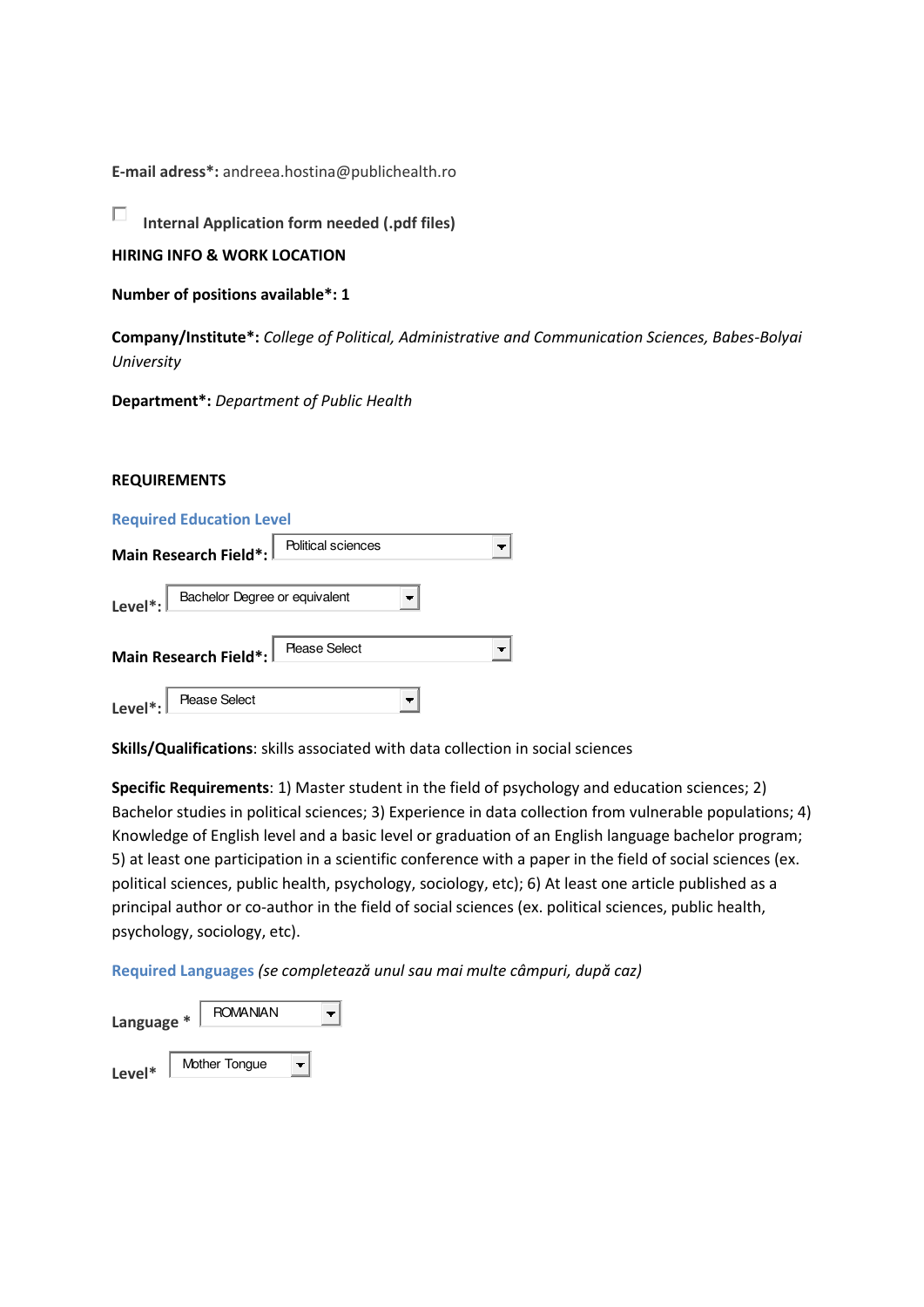**E-mail adress\*:** andreea.hostina@publichealth.ro

П **Internal Application form needed (.pdf files)** 

**HIRING INFO & WORK LOCATION** 

**Number of positions available\*: 1** 

**Company/Institute\*:** *College of Political, Administrative and Communication Sciences, Babes-Bolyai University* 

**Department\*:** *Department of Public Health* 

## **REQUIREMENTS**

## **Required Education Level**

|                      | Main Research Field*: $\mathbin\Vert$      | Political sciences |  |
|----------------------|--------------------------------------------|--------------------|--|
| Level $^*$ : $\vert$ | Bachelor Degree or equivalent              |                    |  |
|                      | Main Research Field*: <b>Please Select</b> |                    |  |
| Level <sup>*</sup> : | <b>Please Select</b>                       |                    |  |

**Skills/Qualifications**: skills associated with data collection in social sciences

**Specific Requirements**: 1) Master student in the field of psychology and education sciences; 2) Bachelor studies in political sciences; 3) Experience in data collection from vulnerable populations; 4) Knowledge of English level and a basic level or graduation of an English language bachelor program; 5) at least one participation in a scientific conference with a paper in the field of social sciences (ex. political sciences, public health, psychology, sociology, etc); 6) At least one article published as a principal author or co-author in the field of social sciences (ex. political sciences, public health, psychology, sociology, etc).

**Required Languages (se completează unul sau mai multe câmpuri, după caz)** 

| Language * | <b>ROMANIAN</b> |  |
|------------|-----------------|--|
| Level*     | Mother Tongue   |  |